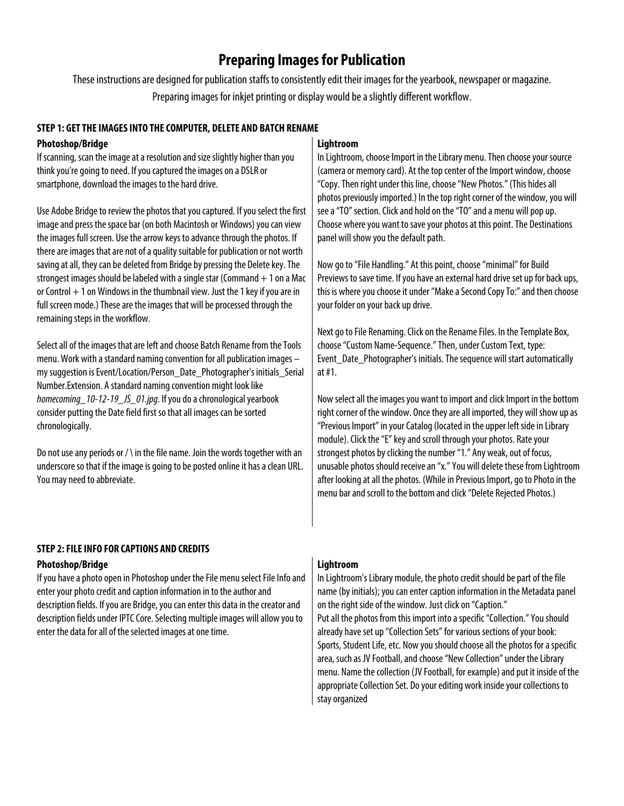# **Preparing Images for Publication**

These instructions are designed for publication staffs to consistently edit their images for the yearbook, newspaper or magazine. Preparing images for inkjet printing or display would be a slightly different workflow.

### **STEP 1: GET THE IMAGESINTO THE COMPUTER, DELETE AND BATCH RENAME**

### **Photoshop/Bridge**

If scanning, scan the image at a resolution and size slightly higher than you think you're going to need. If you captured the images on a DSLR or smartphone, download the images to the hard drive.

Use Adobe Bridge to review the photos that you captured. If you select the first image and press the space bar (on both Macintosh or Windows) you can view the images full screen. Use the arrow keys to advance through the photos. If there are images that are not of a quality suitable for publication or not worth saving at all, they can be deleted from Bridge by pressing the Delete key. The strongest images should be labeled with a single star (Command  $+1$  on a Mac or Control  $+1$  on Windows in the thumbnail view. Just the 1 key if you are in full screen mode.) These are the images that will be processed through the remaining steps in the workflow.

Select all of the images that are left and choose Batch Rename from the Tools menu. Work with a standard naming convention for all publication images – my suggestion is Event/Location/Person\_Date\_Photographer's initials\_Serial Number.Extension. A standard naming convention might look like *homecoming\_10-12-19\_JS\_01.jpg*. If you do a chronological yearbook consider putting the Date field first so that all images can be sorted chronologically.

Do not use any periods or / \ in the file name. Join the words together with an underscore so that if the image is going to be posted online it has a clean URL. You may need to abbreviate.

# **Lightroom**

In Lightroom, choose Import in the Library menu. Then choose your source (camera or memory card). At the top center of the Import window, choose "Copy. Then right under this line, choose "New Photos." (This hides all photos previously imported.) In the top right corner of the window, you will see a "TO" section. Click and hold on the "TO" and a menu will pop up. Choose where you want to save your photos at this point. The Destinations panel will show you the default path.

Now go to "File Handling." At this point, choose "minimal" for Build Previews to save time. If you have an external hard drive set up for back ups, this is where you choose it under "Make a Second Copy To:" and then choose your folder on your back up drive.

Next go to File Renaming. Click on the Rename Files. In the Template Box, choose "Custom Name-Sequence." Then, under Custom Text, type: Event Date Photographer's initials. The sequence will start automatically at #1.

Now select all the images you want to import and click Import in the bottom right corner of the window. Once they are all imported, they will show up as "Previous Import" in your Catalog (located in the upper left side in Library module). Click the "E" key and scroll through your photos. Rate your strongest photos by clicking the number "1." Any weak, out of focus, unusable photos should receive an "x." You will delete these from Lightroom after looking at all the photos. (While in Previous Import, go to Photo in the menu bar and scroll to the bottom and click "Delete Rejected Photos.)

## **STEP 2: FILE INFO FOR CAPTIONS AND CREDITS**

#### **Photoshop/Bridge**

If you have a photo open in Photoshop under the File menu select File Info and enter your photo credit and caption information in to the author and description fields. If you are Bridge, you can enter this data in the creator and description fields under IPTC Core. Selecting multiple images will allow you to enter the data for all of the selected images at one time.

#### **Lightroom**

In Lightroom's Library module, the photo credit should be part of the file name (by initials); you can enter caption information in the Metadata panel on the right side of the window. Just click on "Caption." Put all the photos from this import into a specific "Collection." You should already have set up "Collection Sets" for various sections of your book: Sports, Student Life, etc. Now you should choose all the photos for a specific area, such as JV Football, and choose "New Collection" under the Library menu. Name the collection (JV Football, for example) and put it inside of the appropriate Collection Set. Do your editing work inside your collections to stay organized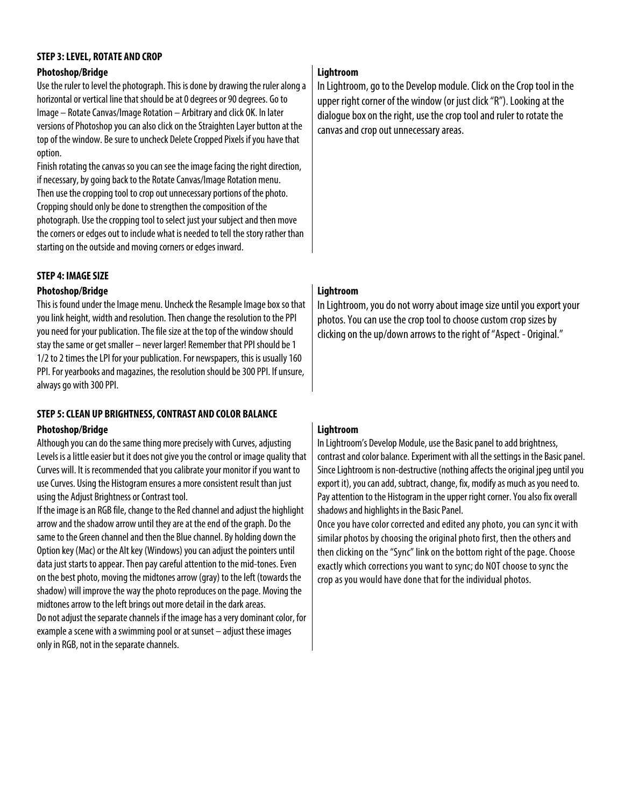### **STEP 3: LEVEL, ROTATE AND CROP**

#### **Photoshop/Bridge**

Use the ruler to level the photograph. This is done by drawing the ruler along a horizontal or vertical line that should be at 0 degrees or 90 degrees. Go to Image – Rotate Canvas/Image Rotation – Arbitrary and click OK. In later versions of Photoshop you can also click on the Straighten Layer button at the top of the window. Be sure to uncheck Delete Cropped Pixels if you have that option.

Finish rotating the canvas so you can see the image facing the right direction, if necessary, by going back to the Rotate Canvas/Image Rotation menu. Then use the cropping tool to crop out unnecessary portions of the photo. Cropping should only be done to strengthen the composition of the photograph. Use the cropping tool to select just your subject and then move the corners or edges out to include what is needed to tell the story rather than starting on the outside and moving corners or edges inward.

### **STEP 4: IMAGE SIZE**

#### **Photoshop/Bridge**

This is found under the Image menu. Uncheck the Resample Image box so that you link height, width and resolution. Then change the resolution to the PPI you need for your publication. The file size at the top of the window should stay the same or get smaller – never larger! Remember that PPI should be 1 1/2 to 2 times the LPI for your publication. For newspapers, this is usually 160 PPI. For yearbooks and magazines, the resolution should be 300 PPI. If unsure, always go with 300 PPI.

## **STEP 5: CLEAN UP BRIGHTNESS, CONTRAST AND COLOR BALANCE**

#### **Photoshop/Bridge**

Although you can do the same thing more precisely with Curves, adjusting Levels is a little easier but it does not give you the control or image quality that Curves will. It is recommended that you calibrate your monitor if you want to use Curves. Using the Histogram ensures a more consistent result than just using the Adjust Brightness or Contrast tool.

If the image is an RGB file, change to the Red channel and adjust the highlight arrow and the shadow arrow until they are at the end of the graph. Do the same to the Green channel and then the Blue channel. By holding down the Option key (Mac) or the Alt key (Windows) you can adjust the pointers until data just starts to appear. Then pay careful attention to the mid-tones. Even on the best photo, moving the midtones arrow (gray) to the left (towards the shadow) will improve the way the photo reproduces on the page. Moving the midtones arrow to the left brings out more detail in the dark areas.

Do not adjust the separate channels if the image has a very dominant color, for example a scene with a swimming pool or at sunset – adjust these images only in RGB, not in the separate channels.

## **Lightroom**

In Lightroom, go to the Develop module. Click on the Crop tool in the upper right corner of the window (or just click "R"). Looking at the dialogue box on the right, use the crop tool and ruler to rotate the canvas and crop out unnecessary areas.

## **Lightroom**

In Lightroom, you do not worry about image size until you export your photos. You can use the crop tool to choose custom crop sizes by clicking on the up/down arrows to the right of "Aspect - Original."

# **Lightroom**

In Lightroom's Develop Module, use the Basic panel to add brightness, contrast and color balance. Experiment with all the settings in the Basic panel. Since Lightroom is non-destructive (nothing affects the original jpeg until you export it), you can add, subtract, change, fix, modify as much as you need to. Pay attention to the Histogram in the upper right corner. You also fix overall shadows and highlights in the Basic Panel.

Once you have color corrected and edited any photo, you can sync it with similar photos by choosing the original photo first, then the others and then clicking on the "Sync" link on the bottom right of the page. Choose exactly which corrections you want to sync; do NOT choose to sync the crop as you would have done that for the individual photos.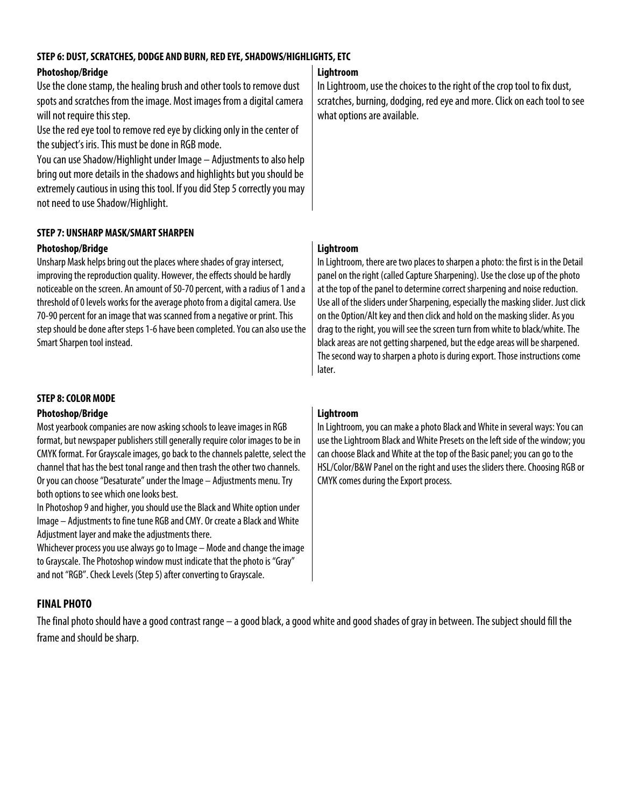# **STEP 6: DUST, SCRATCHES, DODGE AND BURN, RED EYE, SHADOWS/HIGHLIGHTS, ETC**

# **Photoshop/Bridge**

Use the clone stamp, the healing brush and other tools to remove dust spots and scratches from the image. Most images from a digital camera will not require this step.

Use the red eye tool to remove red eyeby clicking only in the center of the subject's iris. This must be done in RGB mode.

You can use Shadow/Highlight under Image – Adjustments to also help bring out more details in the shadows and highlights but you should be extremely cautious in using this tool. If you did Step 5 correctly you may not need to use Shadow/Highlight.

# **STEP 7: UNSHARP MASK/SMART SHARPEN**

# **Photoshop/Bridge**

Unsharp Mask helps bring out the places where shades of gray intersect, improving the reproduction quality. However, the effects should be hardly noticeable on the screen. An amount of 50-70 percent, with a radius of 1 and a threshold of 0 levels works for the average photo from a digital camera. Use 70-90 percent for an image that was scanned from a negative or print. This step should be done after steps 1-6 have been completed. You can also use the Smart Sharpen tool instead.

### **STEP 8: COLOR MODE**

#### **Photoshop/Bridge**

Most yearbook companies are now asking schools to leave images in RGB format, but newspaper publishers still generally require color images to be in CMYK format. For Grayscale images, go back to the channels palette, select the channel that has the best tonal range and then trash the other two channels. Or you can choose "Desaturate" under the Image – Adjustments menu. Try both options to see which one looks best.

In Photoshop 9and higher, you should use the Black and White option under Image – Adjustments to fine tune RGB and CMY. Or create a Black and White Adjustment layer and make the adjustments there.

Whichever process you use always go to Image – Mode and change the image to Grayscale. The Photoshop window must indicate that the photo is "Gray" and not "RGB". Check Levels (Step 5) after converting to Grayscale.

# **FINAL PHOTO**

The final photo should have a good contrast range  $-$  a good black, a good white and good shades of gray in between. The subject should fill the frame and should be sharp.

# **Lightroom**

In Lightroom, use the choices to the right of the crop tool to fix dust, scratches, burning, dodging, red eye and more. Click on each tool to see what options are available.

# **Lightroom**

In Lightroom, there are two places to sharpen a photo: the first is in the Detail panel on the right (called Capture Sharpening). Use the close up of the photo at the top of the panel to determine correct sharpening and noise reduction. Use all of the sliders under Sharpening, especially the masking slider. Just click on the Option/Alt key and then click and hold on the masking slider. As you drag to the right, you will see the screen turn from white to black/white. The black areas are not getting sharpened, but the edge areas will be sharpened. The second way to sharpen a photo is during export. Those instructions come later.

## **Lightroom**

In Lightroom, you can make a photo Black and White in several ways: You can use the Lightroom Black and White Presets on the left side of the window; you can choose Black and White at the top of the Basic panel; you can go to the HSL/Color/B&W Panel on the right and uses the sliders there. Choosing RGB or CMYK comes during the Export process.